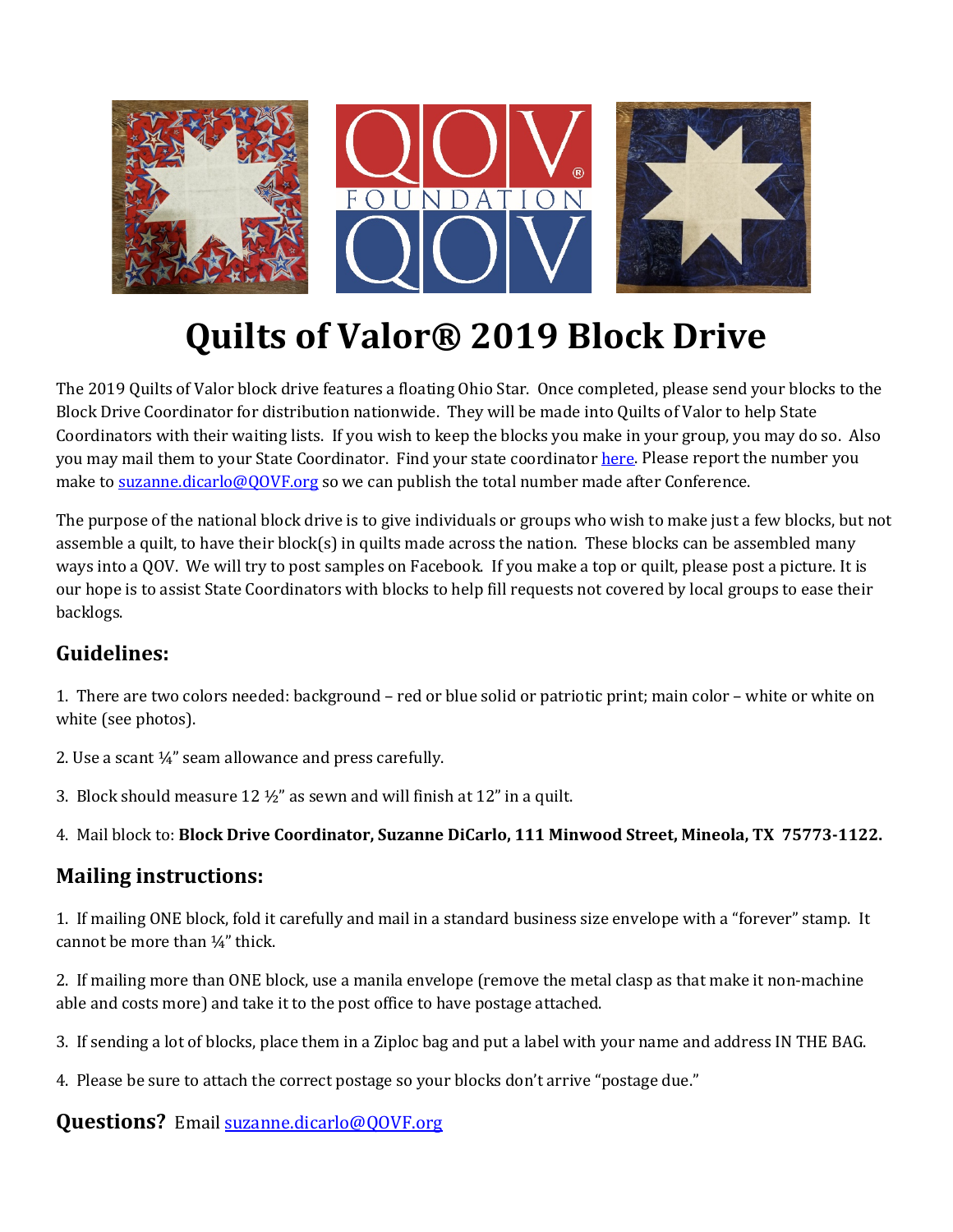

# **Quilts of Valor® 2019 Block Drive**

The 2019 Quilts of Valor block drive features a floating Ohio Star. Once completed, please send your blocks to the Block Drive Coordinator for distribution nationwide. They will be made into Quilts of Valor to help State Coordinators with their waiting lists. If you wish to keep the blocks you make in your group, you may do so. Also you may mail them to your State Coordinator. Find your state coordinato[r here.](https://www.qovf.org/state-coordinators/) Please report the number you make to [suzanne.dicarlo@QOVF.org](mailto:suzanne.dicarlo@QOVF.org) so we can publish the total number made after Conference.

The purpose of the national block drive is to give individuals or groups who wish to make just a few blocks, but not assemble a quilt, to have their block(s) in quilts made across the nation. These blocks can be assembled many ways into a QOV. We will try to post samples on Facebook. If you make a top or quilt, please post a picture. It is our hope is to assist State Coordinators with blocks to help fill requests not covered by local groups to ease their backlogs.

## **Guidelines:**

1. There are two colors needed: background – red or blue solid or patriotic print; main color – white or white on white (see photos).

- 2. Use a scant ¼" seam allowance and press carefully.
- 3. Block should measure 12  $\frac{1}{2}$ " as sewn and will finish at 12" in a quilt.

4. Mail block to: **Block Drive Coordinator, Suzanne DiCarlo, 111 Minwood Street, Mineola, TX 75773-1122.**

### **Mailing instructions:**

1. If mailing ONE block, fold it carefully and mail in a standard business size envelope with a "forever" stamp. It cannot be more than ¼" thick.

2. If mailing more than ONE block, use a manila envelope (remove the metal clasp as that make it non-machine able and costs more) and take it to the post office to have postage attached.

- 3. If sending a lot of blocks, place them in a Ziploc bag and put a label with your name and address IN THE BAG.
- 4. Please be sure to attach the correct postage so your blocks don't arrive "postage due."

#### **Questions?** Email [suzanne.dicarlo@QOVF.org](mailto:suzanne.dicarlo@QOVF.org)